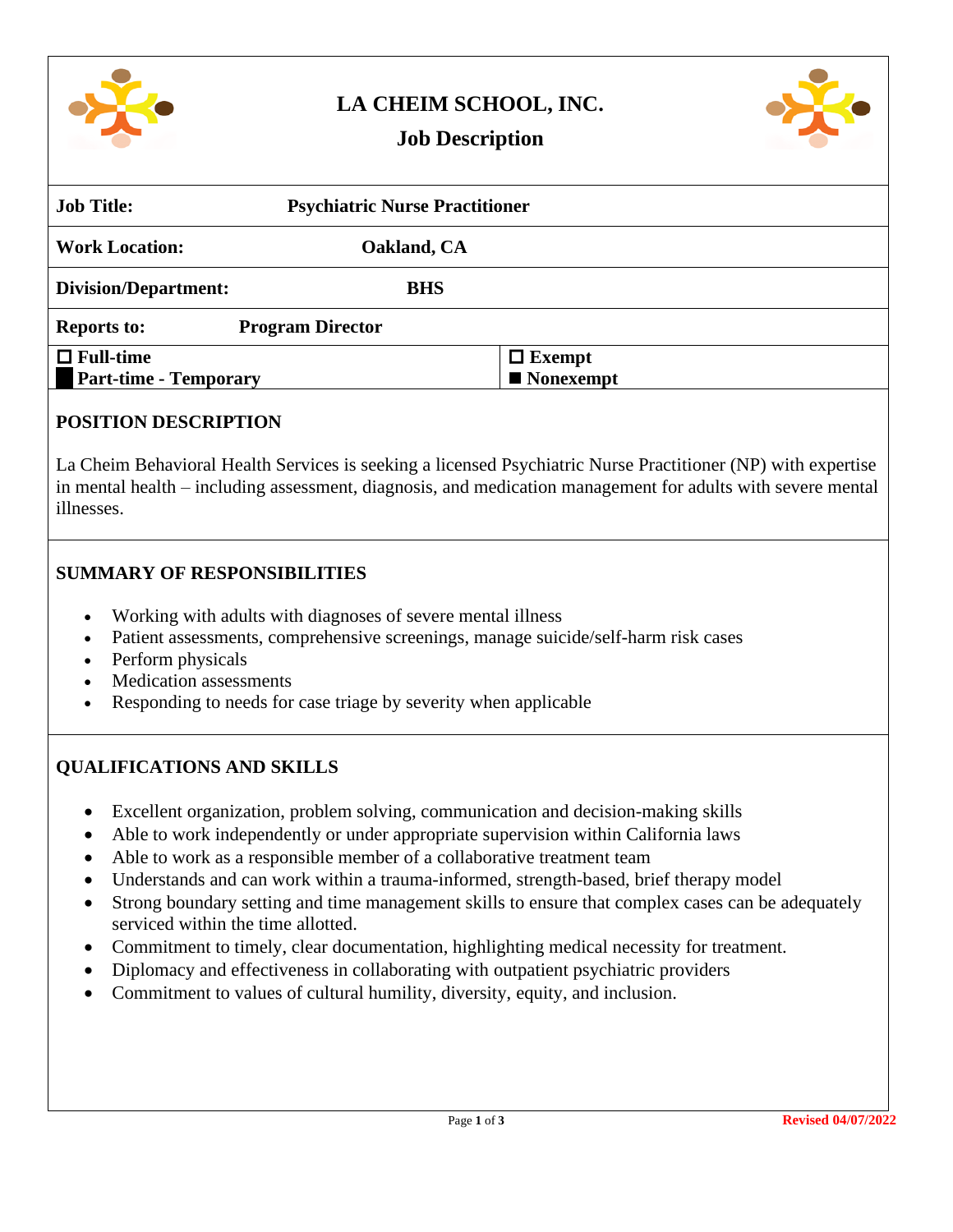

# **LA CHEIM SCHOOL, INC.**



# **Job Description**

| <b>Job Title:</b>                                | <b>Psychiatric Nurse Practitioner</b> |                            |
|--------------------------------------------------|---------------------------------------|----------------------------|
| <b>Work Location:</b>                            | Oakland, CA                           |                            |
| Division/Department:                             | <b>BHS</b>                            |                            |
| <b>Reports to:</b>                               | <b>Program Director</b>               |                            |
| $\Box$ Full-time<br><b>Part-time - Temporary</b> |                                       | $\Box$ Exempt<br>Nonexempt |

#### **POSITION DESCRIPTION**

La Cheim Behavioral Health Services is seeking a licensed Psychiatric Nurse Practitioner (NP) with expertise in mental health – including assessment, diagnosis, and medication management for adults with severe mental illnesses.

#### **SUMMARY OF RESPONSIBILITIES**

- Working with adults with diagnoses of severe mental illness
- Patient assessments, comprehensive screenings, manage suicide/self-harm risk cases
- Perform physicals
- Medication assessments
- Responding to needs for case triage by severity when applicable

### **QUALIFICATIONS AND SKILLS**

- Excellent organization, problem solving, communication and decision-making skills
- Able to work independently or under appropriate supervision within California laws
- Able to work as a responsible member of a collaborative treatment team
- Understands and can work within a trauma-informed, strength-based, brief therapy model
- Strong boundary setting and time management skills to ensure that complex cases can be adequately serviced within the time allotted.
- Commitment to timely, clear documentation, highlighting medical necessity for treatment.
- Diplomacy and effectiveness in collaborating with outpatient psychiatric providers
- Commitment to values of cultural humility, diversity, equity, and inclusion.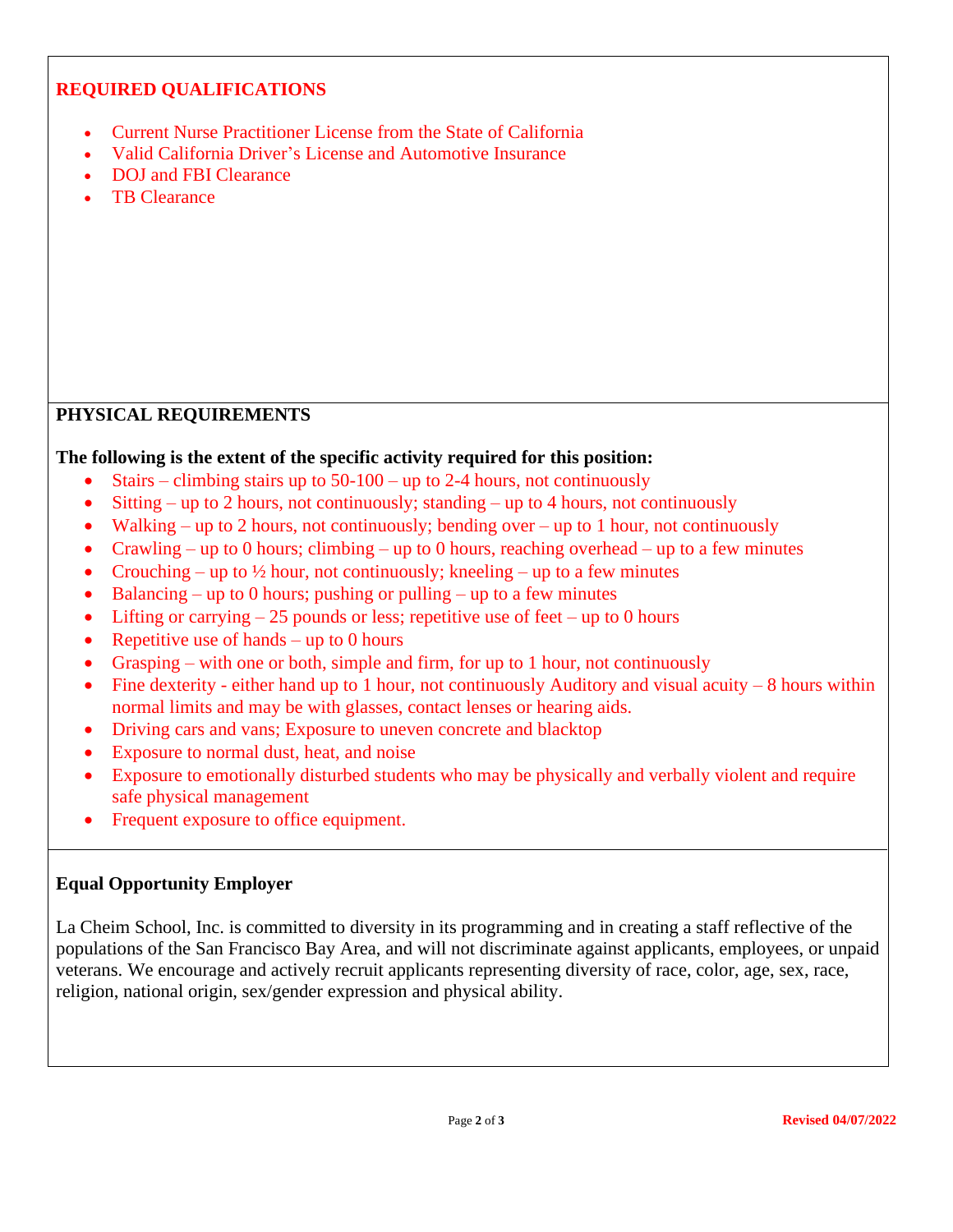## **REQUIRED QUALIFICATIONS**

- Current Nurse Practitioner License from the State of California
- Valid California Driver's License and Automotive Insurance
- DOJ and FBI Clearance
- **TB** Clearance

### **PHYSICAL REQUIREMENTS**

#### **The following is the extent of the specific activity required for this position:**

- Stairs climbing stairs up to  $50-100$  up to 2-4 hours, not continuously
- Sitting up to 2 hours, not continuously; standing up to 4 hours, not continuously
- Walking up to 2 hours, not continuously; bending over up to 1 hour, not continuously
- Crawling up to 0 hours; climbing up to 0 hours, reaching overhead up to a few minutes
- Crouching up to  $\frac{1}{2}$  hour, not continuously; kneeling up to a few minutes
- Balancing up to 0 hours; pushing or pulling up to a few minutes
- Lifting or carrying  $-25$  pounds or less; repetitive use of feet up to 0 hours
- Repetitive use of hands  $-$  up to 0 hours
- Grasping with one or both, simple and firm, for up to 1 hour, not continuously
- Fine dexterity either hand up to 1 hour, not continuously Auditory and visual acuity  $-8$  hours within normal limits and may be with glasses, contact lenses or hearing aids.
- Driving cars and vans; Exposure to uneven concrete and blacktop
- Exposure to normal dust, heat, and noise
- Exposure to emotionally disturbed students who may be physically and verbally violent and require safe physical management
- Frequent exposure to office equipment.

### **Equal Opportunity Employer**

La Cheim School, Inc. is committed to diversity in its programming and in creating a staff reflective of the populations of the San Francisco Bay Area, and will not discriminate against applicants, employees, or unpaid veterans. We encourage and actively recruit applicants representing diversity of race, color, age, sex, race, religion, national origin, sex/gender expression and physical ability.